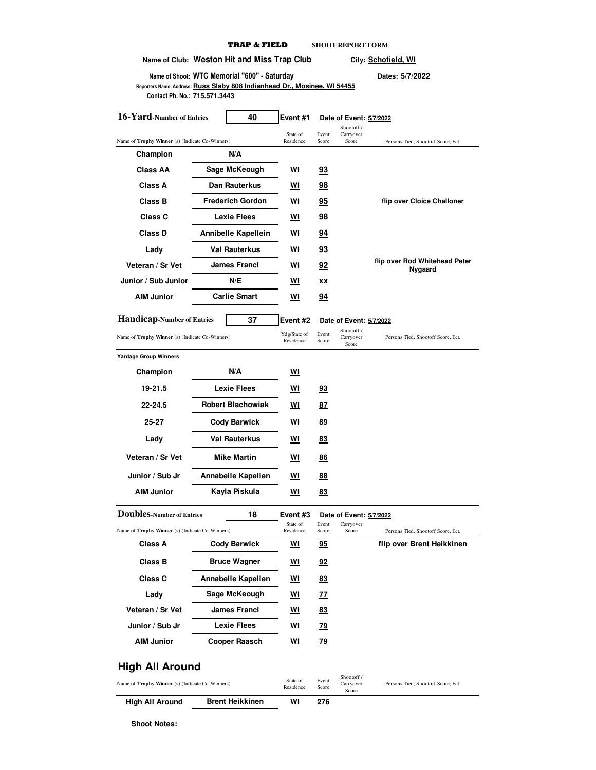|                                                                                                            | Name of Club: Weston Hit and Miss Trap Club |                           |                | City: Schofield, WI                   |                                          |  |  |  |  |
|------------------------------------------------------------------------------------------------------------|---------------------------------------------|---------------------------|----------------|---------------------------------------|------------------------------------------|--|--|--|--|
| Name of Shoot: WTC Memorial "600" - Saturday                                                               |                                             |                           |                | Dates: 5/7/2022                       |                                          |  |  |  |  |
| Reporters Name, Address: Russ Slaby 808 Indianhead Dr., Mosinee, WI 54455<br>Contact Ph. No.: 715.571.3443 |                                             |                           |                |                                       |                                          |  |  |  |  |
| 16-Yard-Number of Entries                                                                                  | 40                                          | Event #1                  |                | Date of Event: 5/7/2022<br>Shootoff / |                                          |  |  |  |  |
| Name of Trophy Winner (s) (Indicate Co-Winners)                                                            |                                             | State of<br>Residence     | Event<br>Score | Carryover<br>Score                    | Persons Tied, Shootoff Score, Ect.       |  |  |  |  |
| Champion                                                                                                   | N/A                                         |                           |                |                                       |                                          |  |  |  |  |
| Class AA                                                                                                   | Sage McKeough                               | <u>WI</u>                 | <u>93</u>      |                                       |                                          |  |  |  |  |
| Class A                                                                                                    | Dan Rauterkus                               | WI                        | 98             |                                       |                                          |  |  |  |  |
| <b>Class B</b>                                                                                             | <b>Frederich Gordon</b>                     | WI                        | 95             |                                       | flip over Cloice Challoner               |  |  |  |  |
| <b>Class C</b>                                                                                             | <b>Lexie Flees</b>                          | WI                        | 98             |                                       |                                          |  |  |  |  |
| <b>Class D</b>                                                                                             | Annibelle Kapellein                         | WI                        | 94             |                                       |                                          |  |  |  |  |
| Lady                                                                                                       | <b>Val Rauterkus</b>                        | WI                        | 93             |                                       |                                          |  |  |  |  |
| Veteran / Sr Vet                                                                                           | <b>James Francl</b>                         | WI                        | 92             |                                       | flip over Rod Whitehead Peter<br>Nygaard |  |  |  |  |
| Junior / Sub Junior                                                                                        | N/E                                         | WI                        | xх             |                                       |                                          |  |  |  |  |
| <b>AIM Junior</b>                                                                                          | <b>Carlie Smart</b>                         | <u>WI</u>                 | <u>94</u>      |                                       |                                          |  |  |  |  |
| <b>Handicap-Number of Entries</b>                                                                          | 37                                          | Event #2                  |                | Date of Event: 5/7/2022               |                                          |  |  |  |  |
| Name of Trophy Winner (s) (Indicate Co-Winners)                                                            |                                             | Ydg/State of<br>Residence | Event<br>Score | Shootoff /<br>Carryover<br>Score      | Persons Tied, Shootoff Score, Ect.       |  |  |  |  |
| <b>Yardage Group Winners</b>                                                                               |                                             |                           |                |                                       |                                          |  |  |  |  |
| Champion                                                                                                   | N/A                                         | <u>WI</u>                 |                |                                       |                                          |  |  |  |  |
| 19-21.5                                                                                                    | <b>Lexie Flees</b>                          | WI                        | <u>93</u>      |                                       |                                          |  |  |  |  |
| 22-24.5                                                                                                    | <b>Robert Blachowiak</b>                    | WI                        | 87             |                                       |                                          |  |  |  |  |
| 25-27                                                                                                      | <b>Cody Barwick</b>                         | WI                        | 89             |                                       |                                          |  |  |  |  |
| Lady                                                                                                       | <b>Val Rauterkus</b>                        | WI                        | <u>83</u>      |                                       |                                          |  |  |  |  |
| Veteran / Sr Vet                                                                                           | <b>Mike Martin</b>                          | WI                        | <u>86</u>      |                                       |                                          |  |  |  |  |
| Junior / Sub Jr                                                                                            | <b>Annabelle Kapellen</b>                   | WI                        | <u>88</u>      |                                       |                                          |  |  |  |  |
| AIM Junior                                                                                                 | Kayla Piskula                               | <u>WI</u>                 | <u>83</u>      |                                       |                                          |  |  |  |  |
| <b>Doubles-Number of Entries</b>                                                                           | 18                                          | Event #3                  |                | Date of Event: 5/7/2022               |                                          |  |  |  |  |
| Name of Trophy Winner (s) (Indicate Co-Winners)                                                            |                                             | State of<br>Residence     | Event<br>Score | Carryover<br>Score                    | Persons Tied, Shootoff Score, Ect.       |  |  |  |  |
| Class A                                                                                                    | <b>Cody Barwick</b>                         | ▥                         | <u>95</u>      |                                       | flip over Brent Heikkinen                |  |  |  |  |
| Class B                                                                                                    | <b>Bruce Wagner</b>                         | <u>WI</u>                 | <u>92</u>      |                                       |                                          |  |  |  |  |
| Class C                                                                                                    | Annabelle Kapellen                          | WI                        | <u>83</u>      |                                       |                                          |  |  |  |  |
| Lady                                                                                                       | Sage McKeough                               | WI                        | 77             |                                       |                                          |  |  |  |  |
| Veteran / Sr Vet                                                                                           | <b>James Francl</b>                         | <u>WI</u>                 | <u>83</u>      |                                       |                                          |  |  |  |  |
| Junior / Sub Jr                                                                                            | Lexie Flees                                 | WI                        | <u>79</u>      |                                       |                                          |  |  |  |  |
| <b>AIM Junior</b>                                                                                          | Cooper Raasch                               | <u>WI</u>                 | <u>79</u>      |                                       |                                          |  |  |  |  |
| High All Around<br>Shootoff /                                                                              |                                             |                           |                |                                       |                                          |  |  |  |  |
| Name of Trophy Winner (s) (Indicate Co-Winners)                                                            |                                             | State of<br>Residence     | Event<br>Score | Carryover<br>Score                    | Persons Tied, Shootoff Score, Ect.       |  |  |  |  |
| High All Around                                                                                            | <b>Brent Heikkinen</b>                      | WI                        | 276            |                                       |                                          |  |  |  |  |

**TRAP & FIELD SHOOT REPORT FORM**

**Shoot Notes:**